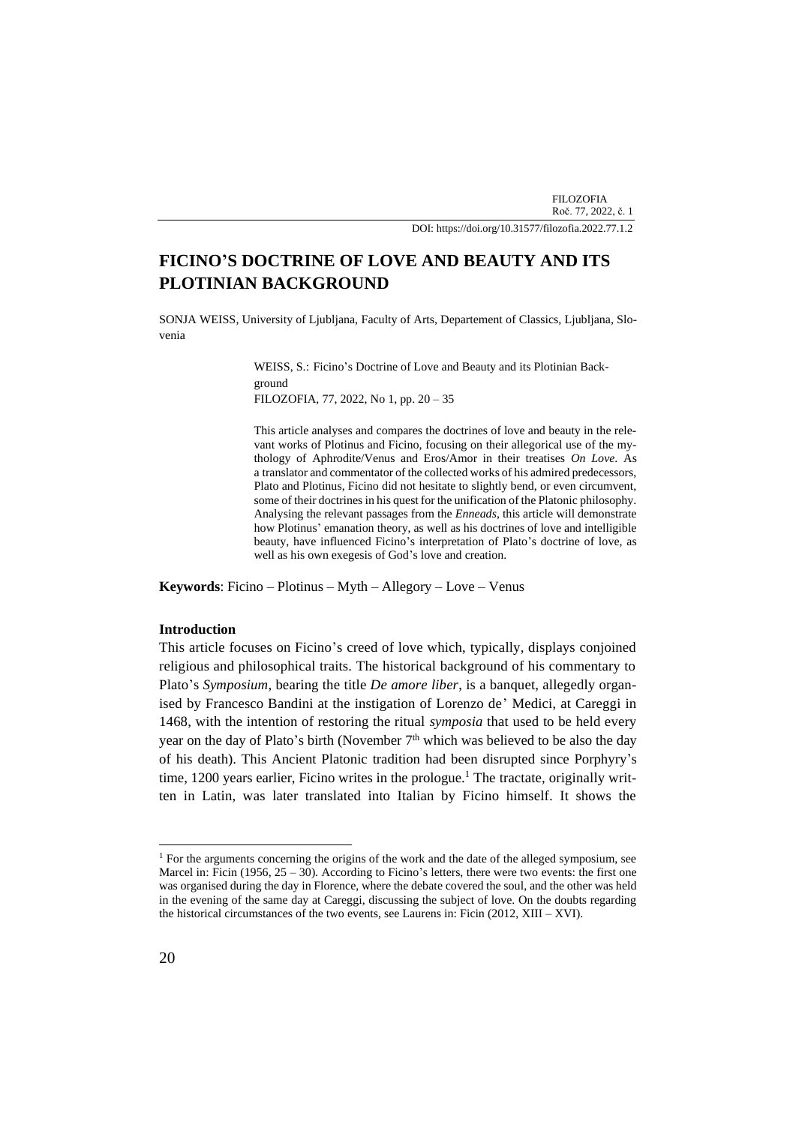FILOZOFIA Roč. 77, 2022, č. 1

DOI[: https://doi.org/10.31577/filozofia.2022.77.1.2](https://doi.org/10.31577/filozofia.2022.77.1.2)

# **FICINO'S DOCTRINE OF LOVE AND BEAUTY AND ITS PLOTINIAN BACKGROUND**

SONJA WEISS, University of Ljubljana, Faculty of Arts, Departement of Classics, Ljubljana, Slovenia

> WEISS, S.: Ficino's Doctrine of Love and Beauty and its Plotinian Background FILOZOFIA, 77, 2022, No 1, pp. 20 – 35

This article analyses and compares the doctrines of love and beauty in the relevant works of Plotinus and Ficino, focusing on their allegorical use of the mythology of Aphrodite/Venus and Eros/Amor in their treatises *On Love*. As a translator and commentator of the collected works of his admired predecessors, Plato and Plotinus, Ficino did not hesitate to slightly bend, or even circumvent, some of their doctrines in his quest for the unification of the Platonic philosophy. Analysing the relevant passages from the *Enneads*, this article will demonstrate how Plotinus' emanation theory, as well as his doctrines of love and intelligible beauty, have influenced Ficino's interpretation of Plato's doctrine of love, as well as his own exegesis of God's love and creation.

**Keywords**: Ficino – Plotinus – Myth – Allegory – Love – Venus

#### **Introduction**

This article focuses on Ficino's creed of love which, typically, displays conjoined religious and philosophical traits. The historical background of his commentary to Plato's *Symposium*, bearing the title *De amore liber*, is a banquet, allegedly organised by Francesco Bandini at the instigation of Lorenzo de' Medici, at Careggi in 1468, with the intention of restoring the ritual *symposia* that used to be held every year on the day of Plato's birth (November 7<sup>th</sup> which was believed to be also the day of his death). This Ancient Platonic tradition had been disrupted since Porphyry's time, 1200 years earlier, Ficino writes in the prologue.<sup>1</sup> The tractate, originally written in Latin, was later translated into Italian by Ficino himself. It shows the

<sup>&</sup>lt;sup>1</sup> For the arguments concerning the origins of the work and the date of the alleged symposium, see Marcel in: Ficin (1956,  $25 - 30$ ). According to Ficino's letters, there were two events: the first one was organised during the day in Florence, where the debate covered the soul, and the other was held in the evening of the same day at Careggi, discussing the subject of love. On the doubts regarding the historical circumstances of the two events, see Laurens in: Ficin (2012, XIII – XVI).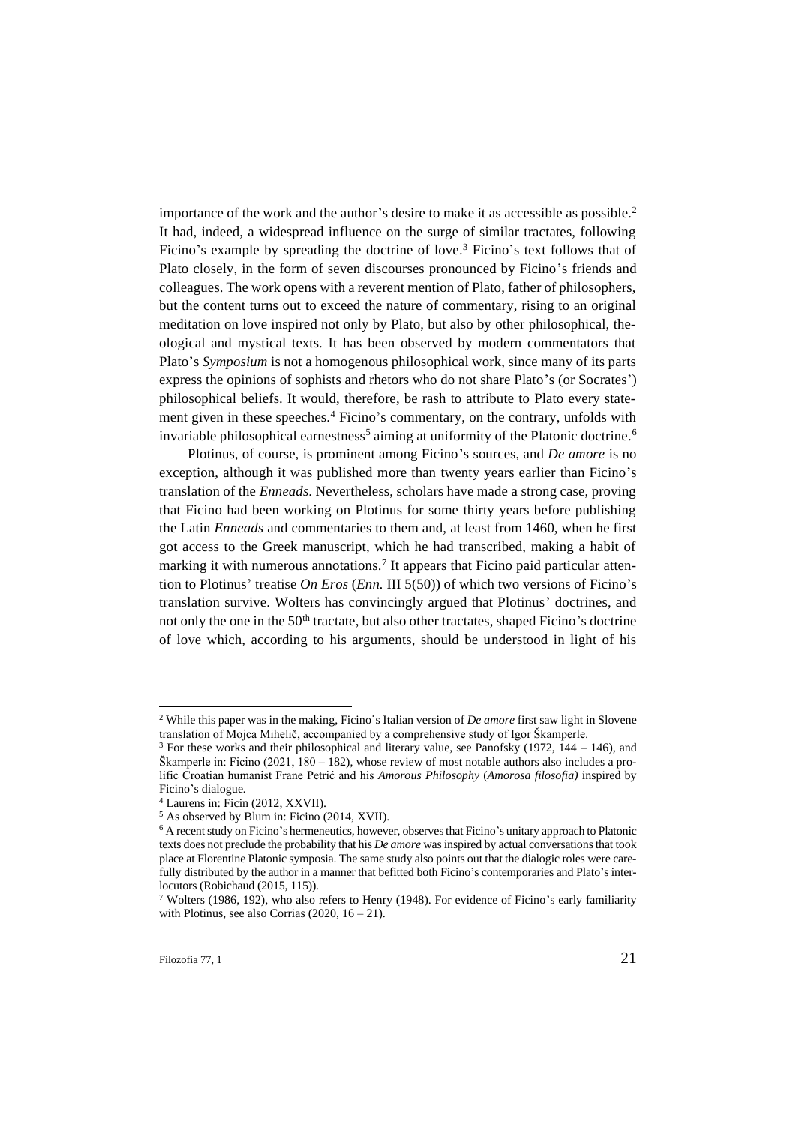importance of the work and the author's desire to make it as accessible as possible.<sup>2</sup> It had, indeed, a widespread influence on the surge of similar tractates, following Ficino's example by spreading the doctrine of love.<sup>3</sup> Ficino's text follows that of Plato closely, in the form of seven discourses pronounced by Ficino's friends and colleagues. The work opens with a reverent mention of Plato, father of philosophers, but the content turns out to exceed the nature of commentary, rising to an original meditation on love inspired not only by Plato, but also by other philosophical, theological and mystical texts. It has been observed by modern commentators that Plato's *Symposium* is not a homogenous philosophical work, since many of its parts express the opinions of sophists and rhetors who do not share Plato's (or Socrates') philosophical beliefs. It would, therefore, be rash to attribute to Plato every statement given in these speeches.<sup>4</sup> Ficino's commentary, on the contrary, unfolds with invariable philosophical earnestness<sup>5</sup> aiming at uniformity of the Platonic doctrine.<sup>6</sup>

Plotinus, of course, is prominent among Ficino's sources, and *De amore* is no exception, although it was published more than twenty years earlier than Ficino's translation of the *Enneads*. Nevertheless, scholars have made a strong case, proving that Ficino had been working on Plotinus for some thirty years before publishing the Latin *Enneads* and commentaries to them and, at least from 1460, when he first got access to the Greek manuscript, which he had transcribed, making a habit of marking it with numerous annotations.<sup>7</sup> It appears that Ficino paid particular attention to Plotinus' treatise *On Eros* (*Enn.* III 5(50)) of which two versions of Ficino's translation survive. Wolters has convincingly argued that Plotinus' doctrines, and not only the one in the 50<sup>th</sup> tractate, but also other tractates, shaped Ficino's doctrine of love which, according to his arguments, should be understood in light of his

<sup>2</sup> While this paper was in the making, Ficino's Italian version of *De amore* first saw light in Slovene translation of Mojca Mihelič, accompanied by a comprehensive study of Igor Škamperle.

<sup>3</sup> For these works and their philosophical and literary value, see Panofsky (1972, 144 – 146), and Škamperle in: Ficino  $(2021, 180 - 182)$ , whose review of most notable authors also includes a prolific Croatian humanist Frane Petrić and his *Amorous Philosophy* (*Amorosa filosofia)* inspired by Ficino's dialogue*.*

<sup>4</sup> Laurens in: Ficin (2012, XXVII).

<sup>5</sup> As observed by Blum in: Ficino (2014, XVII).

<sup>6</sup> A recent study on Ficino's hermeneutics, however, observes that Ficino's unitary approach to Platonic texts does not preclude the probability that his *De amore* was inspired by actual conversations that took place at Florentine Platonic symposia. The same study also points out that the dialogic roles were carefully distributed by the author in a manner that befitted both Ficino's contemporaries and Plato's interlocutors (Robichaud (2015, 115)).

<sup>&</sup>lt;sup>7</sup> Wolters (1986, 192), who also refers to Henry (1948). For evidence of Ficino's early familiarity with Plotinus, see also Corrias  $(2020, 16 - 21)$ .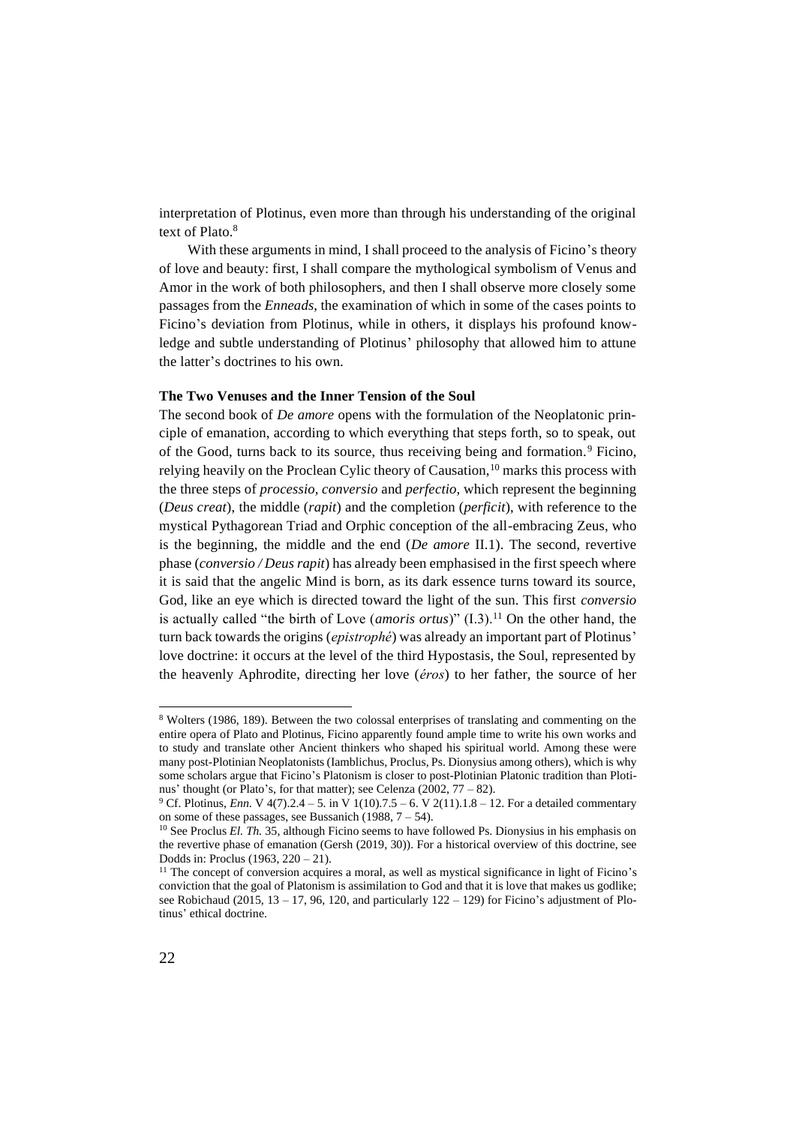interpretation of Plotinus, even more than through his understanding of the original text of Plato.<sup>8</sup>

With these arguments in mind, I shall proceed to the analysis of Ficino's theory of love and beauty: first, I shall compare the mythological symbolism of Venus and Amor in the work of both philosophers, and then I shall observe more closely some passages from the *Enneads*, the examination of which in some of the cases points to Ficino's deviation from Plotinus, while in others, it displays his profound knowledge and subtle understanding of Plotinus' philosophy that allowed him to attune the latter's doctrines to his own.

## **The Two Venuses and the Inner Tension of the Soul**

The second book of *De amore* opens with the formulation of the Neoplatonic principle of emanation, according to which everything that steps forth, so to speak, out of the Good, turns back to its source, thus receiving being and formation.<sup>9</sup> Ficino, relying heavily on the Proclean Cylic theory of Causation,<sup>10</sup> marks this process with the three steps of *processio, conversio* and *perfectio,* which represent the beginning (*Deus creat*), the middle (*rapit*) and the completion (*perficit*), with reference to the mystical Pythagorean Triad and Orphic conception of the all-embracing Zeus, who is the beginning, the middle and the end (*De amore* II.1). The second, revertive phase (*conversio / Deus rapit*) has already been emphasised in the first speech where it is said that the angelic Mind is born, as its dark essence turns toward its source, God, like an eye which is directed toward the light of the sun. This first *conversio*  is actually called "the birth of Love (*amoris ortus*)" (I.3).<sup>11</sup> On the other hand, the turn back towards the origins (*epistrophé*) was already an important part of Plotinus' love doctrine: it occurs at the level of the third Hypostasis, the Soul, represented by the heavenly Aphrodite, directing her love (*éros*) to her father, the source of her

<sup>8</sup> Wolters (1986, 189). Between the two colossal enterprises of translating and commenting on the entire opera of Plato and Plotinus, Ficino apparently found ample time to write his own works and to study and translate other Ancient thinkers who shaped his spiritual world. Among these were many post-Plotinian Neoplatonists (Iamblichus, Proclus, Ps. Dionysius among others), which is why some scholars argue that Ficino's Platonism is closer to post-Plotinian Platonic tradition than Plotinus' thought (or Plato's, for that matter); see Celenza (2002, 77 – 82).

<sup>&</sup>lt;sup>9</sup> Cf. Plotinus, *Enn.* V 4(7).2.4 – 5. in V 1(10).7.5 – 6. V 2(11).1.8 – 12. For a detailed commentary on some of these passages, see Bussanich (1988,  $7 - 54$ ).

<sup>&</sup>lt;sup>10</sup> See Proclus *El. Th.* 35, although Ficino seems to have followed Ps. Dionysius in his emphasis on the revertive phase of emanation (Gersh (2019, 30)). For a historical overview of this doctrine, see Dodds in: Proclus (1963, 220 – 21).

<sup>&</sup>lt;sup>11</sup> The concept of conversion acquires a moral, as well as mystical significance in light of Ficino's conviction that the goal of Platonism is assimilation to God and that it is love that makes us godlike; see Robichaud (2015,  $13 - 17$ , 96, 120, and particularly  $122 - 129$ ) for Ficino's adjustment of Plotinus' ethical doctrine.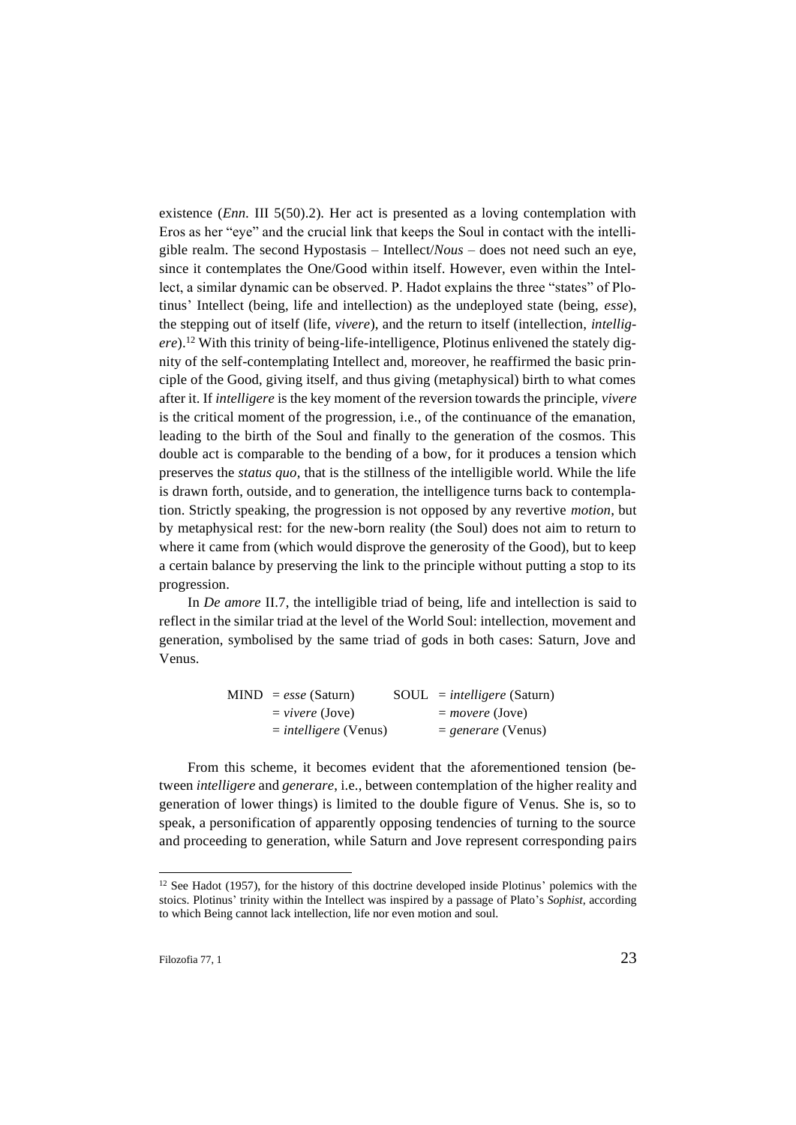existence *(Enn. III 5(50).2)*. Her act is presented as a loving contemplation with Eros as her "eye" and the crucial link that keeps the Soul in contact with the intelligible realm. The second Hypostasis – Intellect/*Nous* – does not need such an eye, since it contemplates the One/Good within itself. However, even within the Intellect, a similar dynamic can be observed. P. Hadot explains the three "states" of Plotinus' Intellect (being, life and intellection) as the undeployed state (being, *esse*), the stepping out of itself (life, *vivere*), and the return to itself (intellection, *intelligere*).<sup>12</sup> With this trinity of being-life-intelligence, Plotinus enlivened the stately dignity of the self-contemplating Intellect and, moreover, he reaffirmed the basic principle of the Good, giving itself, and thus giving (metaphysical) birth to what comes after it. If *intelligere* is the key moment of the reversion towards the principle, *vivere* is the critical moment of the progression, i.e., of the continuance of the emanation, leading to the birth of the Soul and finally to the generation of the cosmos. This double act is comparable to the bending of a bow, for it produces a tension which preserves the *status quo*, that is the stillness of the intelligible world. While the life is drawn forth, outside, and to generation, the intelligence turns back to contemplation. Strictly speaking, the progression is not opposed by any revertive *motion*, but by metaphysical rest: for the new-born reality (the Soul) does not aim to return to where it came from (which would disprove the generosity of the Good), but to keep a certain balance by preserving the link to the principle without putting a stop to its progression.

In *De amore* II.7, the intelligible triad of being, life and intellection is said to reflect in the similar triad at the level of the World Soul: intellection, movement and generation, symbolised by the same triad of gods in both cases: Saturn, Jove and Venus.

| $MIND = esse (Saturn)$         | $SOL = intelligence (Saturn)$ |
|--------------------------------|-------------------------------|
| $=$ vivere (Jove)              | $=$ movere (Jove)             |
| $=$ <i>intelligere</i> (Venus) | $=$ generare (Venus)          |

From this scheme, it becomes evident that the aforementioned tension (between *intelligere* and *generare*, i.e., between contemplation of the higher reality and generation of lower things) is limited to the double figure of Venus. She is, so to speak, a personification of apparently opposing tendencies of turning to the source and proceeding to generation, while Saturn and Jove represent corresponding pairs

<sup>&</sup>lt;sup>12</sup> See Hadot (1957), for the history of this doctrine developed inside Plotinus' polemics with the stoics. Plotinus' trinity within the Intellect was inspired by a passage of Plato's *Sophist*, according to which Being cannot lack intellection, life nor even motion and soul.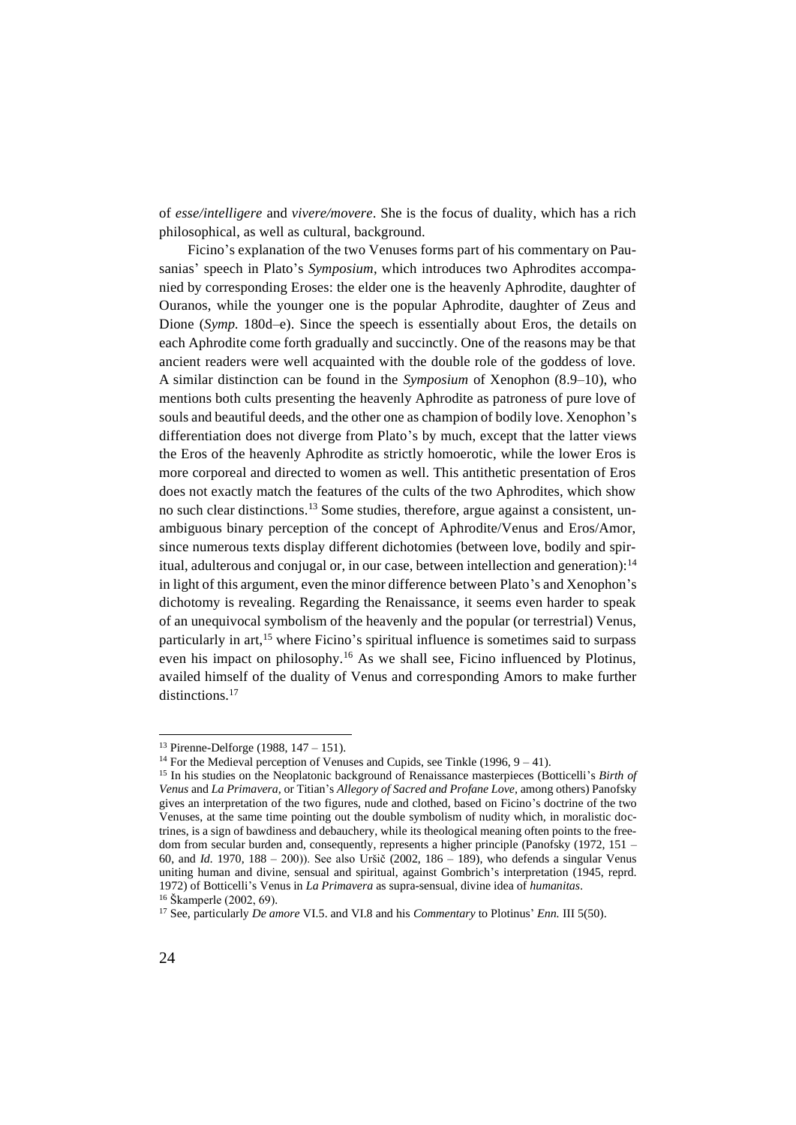of *esse/intelligere* and *vivere/movere*. She is the focus of duality, which has a rich philosophical, as well as cultural, background.

Ficino's explanation of the two Venuses forms part of his commentary on Pausanias' speech in Plato's *Symposium*, which introduces two Aphrodites accompanied by corresponding Eroses: the elder one is the heavenly Aphrodite, daughter of Ouranos, while the younger one is the popular Aphrodite, daughter of Zeus and Dione (*Symp.* 180d–e). Since the speech is essentially about Eros, the details on each Aphrodite come forth gradually and succinctly. One of the reasons may be that ancient readers were well acquainted with the double role of the goddess of love. A similar distinction can be found in the *Symposium* of Xenophon (8.9–10), who mentions both cults presenting the heavenly Aphrodite as patroness of pure love of souls and beautiful deeds, and the other one as champion of bodily love. Xenophon's differentiation does not diverge from Plato's by much, except that the latter views the Eros of the heavenly Aphrodite as strictly homoerotic, while the lower Eros is more corporeal and directed to women as well. This antithetic presentation of Eros does not exactly match the features of the cults of the two Aphrodites, which show no such clear distinctions.<sup>13</sup> Some studies, therefore, argue against a consistent, unambiguous binary perception of the concept of Aphrodite/Venus and Eros/Amor, since numerous texts display different dichotomies (between love, bodily and spiritual, adulterous and conjugal or, in our case, between intellection and generation): $14$ in light of this argument, even the minor difference between Plato's and Xenophon's dichotomy is revealing. Regarding the Renaissance, it seems even harder to speak of an unequivocal symbolism of the heavenly and the popular (or terrestrial) Venus, particularly in  $art$ ,<sup>15</sup> where Ficino's spiritual influence is sometimes said to surpass even his impact on philosophy.<sup>16</sup> As we shall see, Ficino influenced by Plotinus, availed himself of the duality of Venus and corresponding Amors to make further distinctions.<sup>17</sup>

<sup>13</sup> Pirenne-Delforge (1988, 147 – 151).

<sup>&</sup>lt;sup>14</sup> For the Medieval perception of Venuses and Cupids, see Tinkle (1996,  $9 - 41$ ).

<sup>15</sup> In his studies on the Neoplatonic background of Renaissance masterpieces (Botticelli's *Birth of Venus* and *La Primavera,* or Titian's *Allegory of Sacred and Profane Love,* among others) Panofsky gives an interpretation of the two figures, nude and clothed, based on Ficino's doctrine of the two Venuses, at the same time pointing out the double symbolism of nudity which, in moralistic doctrines, is a sign of bawdiness and debauchery, while its theological meaning often points to the freedom from secular burden and, consequently, represents a higher principle (Panofsky (1972, 151 – 60, and *Id.* 1970, 188 – 200)). See also Uršič (2002, 186 – 189), who defends a singular Venus uniting human and divine, sensual and spiritual, against Gombrich's interpretation (1945, reprd. 1972) of Botticelli's Venus in *La Primavera* as supra-sensual, divine idea of *humanitas*. <sup>16</sup> Škamperle (2002, 69).

<sup>17</sup> See, particularly *De amore* VI.5. and VI.8 and his *Commentary* to Plotinus' *Enn.* III 5(50).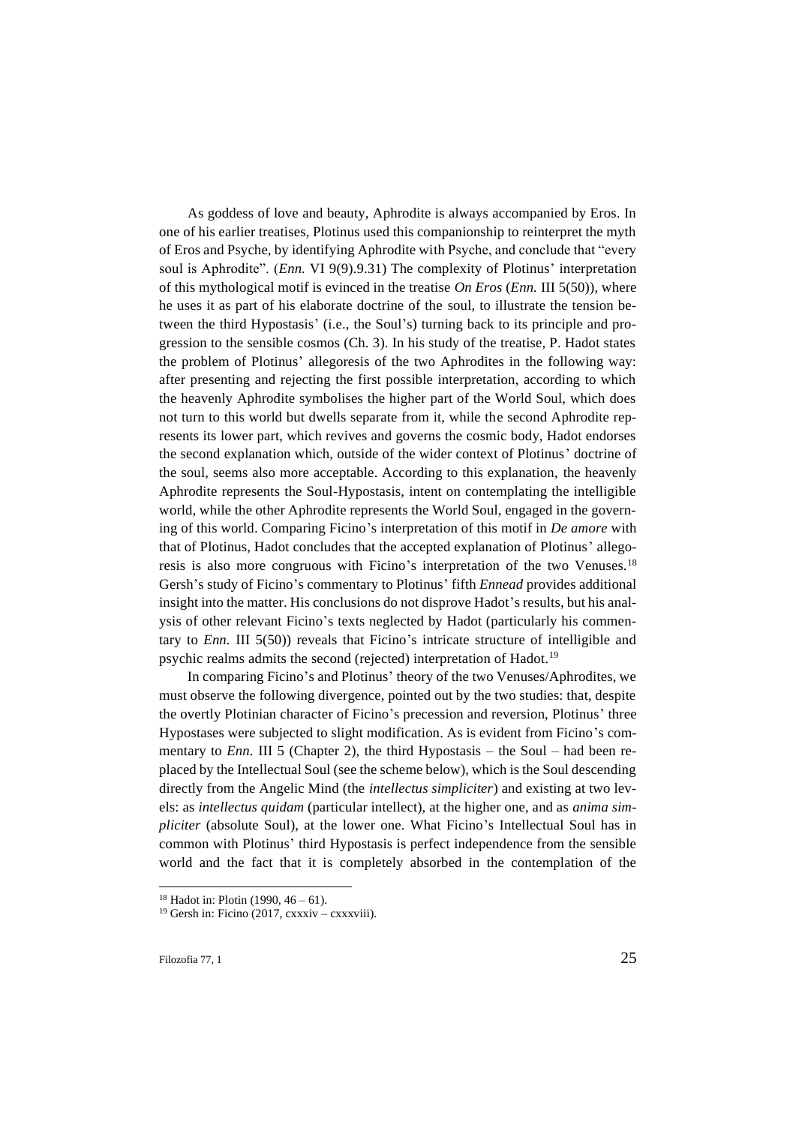As goddess of love and beauty, Aphrodite is always accompanied by Eros. In one of his earlier treatises, Plotinus used this companionship to reinterpret the myth of Eros and Psyche, by identifying Aphrodite with Psyche, and conclude that "every soul is Aphrodite". (*Enn.* VI 9(9).9.31) The complexity of Plotinus' interpretation of this mythological motif is evinced in the treatise *On Eros* (*Enn.* III 5(50))*,* where he uses it as part of his elaborate doctrine of the soul, to illustrate the tension between the third Hypostasis' (i.e., the Soul's) turning back to its principle and progression to the sensible cosmos (Ch. 3). In his study of the treatise, P. Hadot states the problem of Plotinus' allegoresis of the two Aphrodites in the following way: after presenting and rejecting the first possible interpretation, according to which the heavenly Aphrodite symbolises the higher part of the World Soul, which does not turn to this world but dwells separate from it, while the second Aphrodite represents its lower part, which revives and governs the cosmic body, Hadot endorses the second explanation which, outside of the wider context of Plotinus' doctrine of the soul, seems also more acceptable. According to this explanation, the heavenly Aphrodite represents the Soul-Hypostasis, intent on contemplating the intelligible world, while the other Aphrodite represents the World Soul, engaged in the governing of this world. Comparing Ficino's interpretation of this motif in *De amore* with that of Plotinus, Hadot concludes that the accepted explanation of Plotinus' allegoresis is also more congruous with Ficino's interpretation of the two Venuses.<sup>18</sup> Gersh's study of Ficino's commentary to Plotinus' fifth *Ennead* provides additional insight into the matter. His conclusions do not disprove Hadot's results, but his analysis of other relevant Ficino's texts neglected by Hadot (particularly his commentary to *Enn.* III 5(50)) reveals that Ficino's intricate structure of intelligible and psychic realms admits the second (rejected) interpretation of Hadot.<sup>19</sup>

In comparing Ficino's and Plotinus' theory of the two Venuses/Aphrodites, we must observe the following divergence, pointed out by the two studies: that, despite the overtly Plotinian character of Ficino's precession and reversion, Plotinus' three Hypostases were subjected to slight modification. As is evident from Ficino's commentary to *Enn*. III 5 (Chapter 2), the third Hypostasis – the Soul – had been replaced by the Intellectual Soul (see the scheme below), which is the Soul descending directly from the Angelic Mind (the *intellectus simpliciter*) and existing at two levels: as *intellectus quidam* (particular intellect), at the higher one, and as *anima simpliciter* (absolute Soul), at the lower one. What Ficino's Intellectual Soul has in common with Plotinus' third Hypostasis is perfect independence from the sensible world and the fact that it is completely absorbed in the contemplation of the

<sup>&</sup>lt;sup>18</sup> Hadot in: Plotin (1990,  $46 - 61$ ).

 $19$  Gersh in: Ficino (2017, cxxxiv – cxxxviii).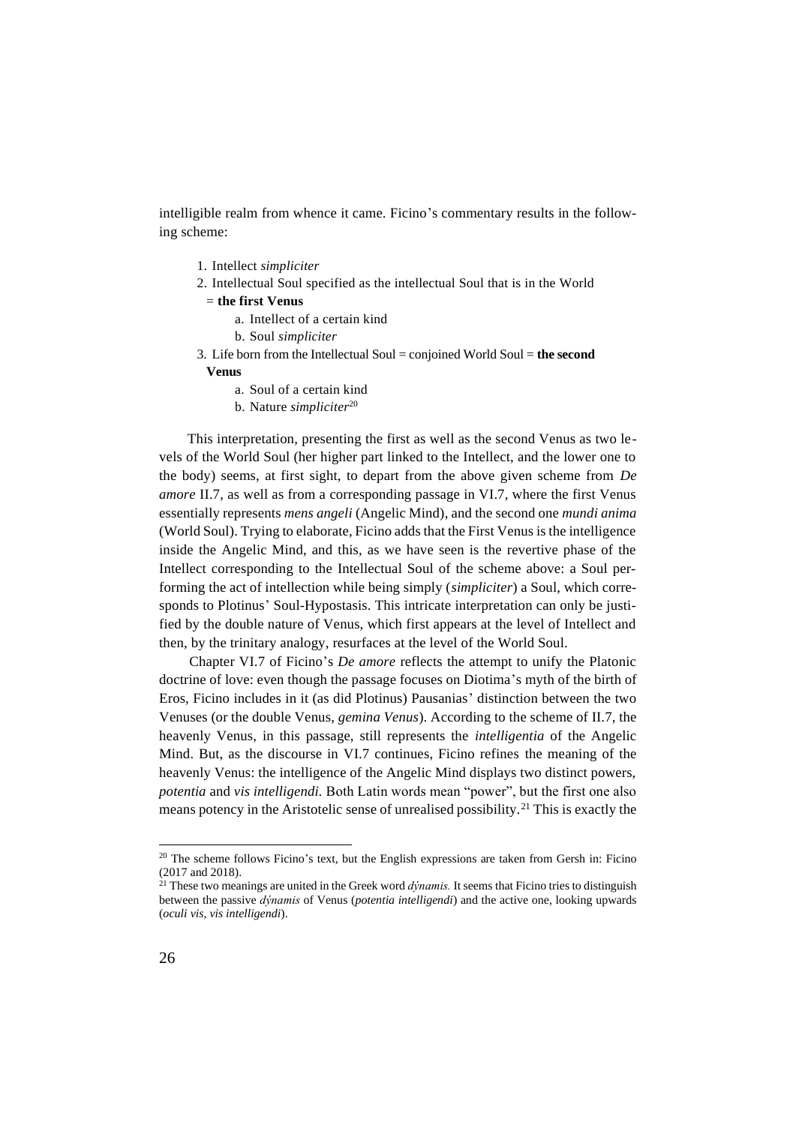intelligible realm from whence it came. Ficino's commentary results in the following scheme:

- 1. Intellect *simpliciter*
- 2. Intellectual Soul specified as the intellectual Soul that is in the World
	- = **the first Venus**
		- a. Intellect of a certain kind
		- b. Soul *simpliciter*
- 3. Life born from the Intellectual Soul = conjoined World Soul = **the second** 
	- **Venus**
		- a. Soul of a certain kind
		- b. Nature *simpliciter*<sup>20</sup>

This interpretation, presenting the first as well as the second Venus as two levels of the World Soul (her higher part linked to the Intellect, and the lower one to the body) seems, at first sight, to depart from the above given scheme from *De amore* II.7, as well as from a corresponding passage in VI.7, where the first Venus essentially represents *mens angeli* (Angelic Mind), and the second one *mundi anima*  (World Soul). Trying to elaborate, Ficino adds that the First Venus is the intelligence inside the Angelic Mind, and this, as we have seen is the revertive phase of the Intellect corresponding to the Intellectual Soul of the scheme above: a Soul performing the act of intellection while being simply (*simpliciter*) a Soul, which corresponds to Plotinus' Soul-Hypostasis. This intricate interpretation can only be justified by the double nature of Venus, which first appears at the level of Intellect and then, by the trinitary analogy, resurfaces at the level of the World Soul.

Chapter VI.7 of Ficino's *De amore* reflects the attempt to unify the Platonic doctrine of love: even though the passage focuses on Diotima's myth of the birth of Eros, Ficino includes in it (as did Plotinus) Pausanias' distinction between the two Venuses (or the double Venus, *gemina Venus*). According to the scheme of II.7, the heavenly Venus, in this passage, still represents the *intelligentia* of the Angelic Mind. But, as the discourse in VI.7 continues, Ficino refines the meaning of the heavenly Venus: the intelligence of the Angelic Mind displays two distinct powers, *potentia* and *vis intelligendi.* Both Latin words mean "power", but the first one also means potency in the Aristotelic sense of unrealised possibility.<sup>21</sup> This is exactly the

<sup>&</sup>lt;sup>20</sup> The scheme follows Ficino's text, but the English expressions are taken from Gersh in: Ficino (2017 and 2018).

<sup>21</sup> These two meanings are united in the Greek word *dýnamis.* It seems that Ficino tries to distinguish between the passive *dýnamis* of Venus (*potentia intelligendi*) and the active one, looking upwards (*oculi vis, vis intelligendi*).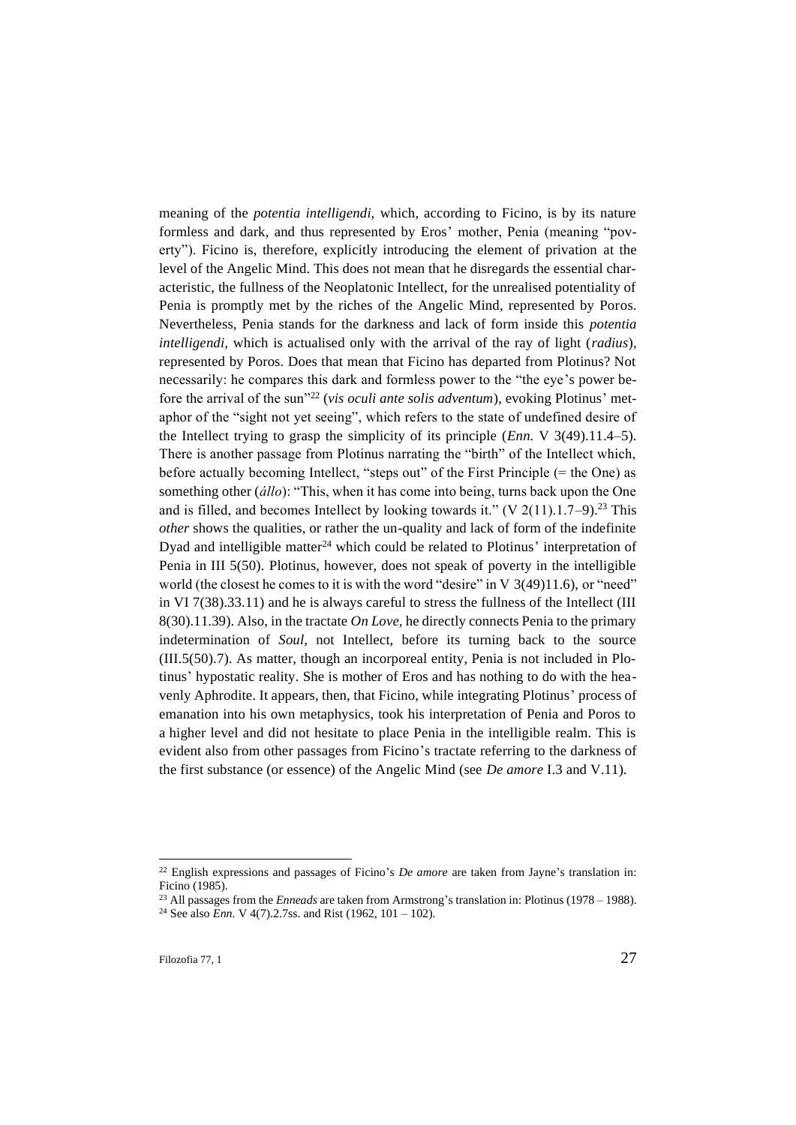meaning of the *potentia intelligendi,* which, according to Ficino, is by its nature formless and dark, and thus represented by Eros' mother, Penia (meaning "poverty"). Ficino is, therefore, explicitly introducing the element of privation at the level of the Angelic Mind. This does not mean that he disregards the essential characteristic, the fullness of the Neoplatonic Intellect, for the unrealised potentiality of Penia is promptly met by the riches of the Angelic Mind, represented by Poros. Nevertheless, Penia stands for the darkness and lack of form inside this *potentia intelligendi,* which is actualised only with the arrival of the ray of light (*radius*), represented by Poros. Does that mean that Ficino has departed from Plotinus? Not necessarily: he compares this dark and formless power to the "the eye's power before the arrival of the sun"<sup>22</sup> (*vis oculi ante solis adventum*), evoking Plotinus' metaphor of the "sight not yet seeing", which refers to the state of undefined desire of the Intellect trying to grasp the simplicity of its principle (*Enn.* V 3(49).11.4–5). There is another passage from Plotinus narrating the "birth" of the Intellect which, before actually becoming Intellect, "steps out" of the First Principle (= the One) as something other (*állo*): "This, when it has come into being, turns back upon the One and is filled, and becomes Intellect by looking towards it." (V 2(11).1.7–9).<sup>23</sup> This *other* shows the qualities, or rather the un-quality and lack of form of the indefinite Dyad and intelligible matter<sup>24</sup> which could be related to Plotinus' interpretation of Penia in III 5(50). Plotinus, however, does not speak of poverty in the intelligible world (the closest he comes to it is with the word "desire" in  $V$  3(49)11.6), or "need" in VI 7(38).33.11) and he is always careful to stress the fullness of the Intellect (III 8(30).11.39). Also, in the tractate *On Love,* he directly connects Penia to the primary indetermination of *Soul,* not Intellect, before its turning back to the source (III.5(50).7). As matter, though an incorporeal entity, Penia is not included in Plotinus' hypostatic reality. She is mother of Eros and has nothing to do with the heavenly Aphrodite. It appears, then, that Ficino, while integrating Plotinus' process of emanation into his own metaphysics, took his interpretation of Penia and Poros to a higher level and did not hesitate to place Penia in the intelligible realm. This is evident also from other passages from Ficino's tractate referring to the darkness of the first substance (or essence) of the Angelic Mind (see *De amore* I.3 and V.11).

<sup>22</sup> English expressions and passages of Ficino's *De amore* are taken from Jayne's translation in: Ficino (1985).

<sup>23</sup> All passages from the *Enneads* are taken from Armstrong's translation in: Plotinus (1978 – 1988). <sup>24</sup> See also *Enn.* V 4(7).2.7ss. and Rist (1962, 101 – 102).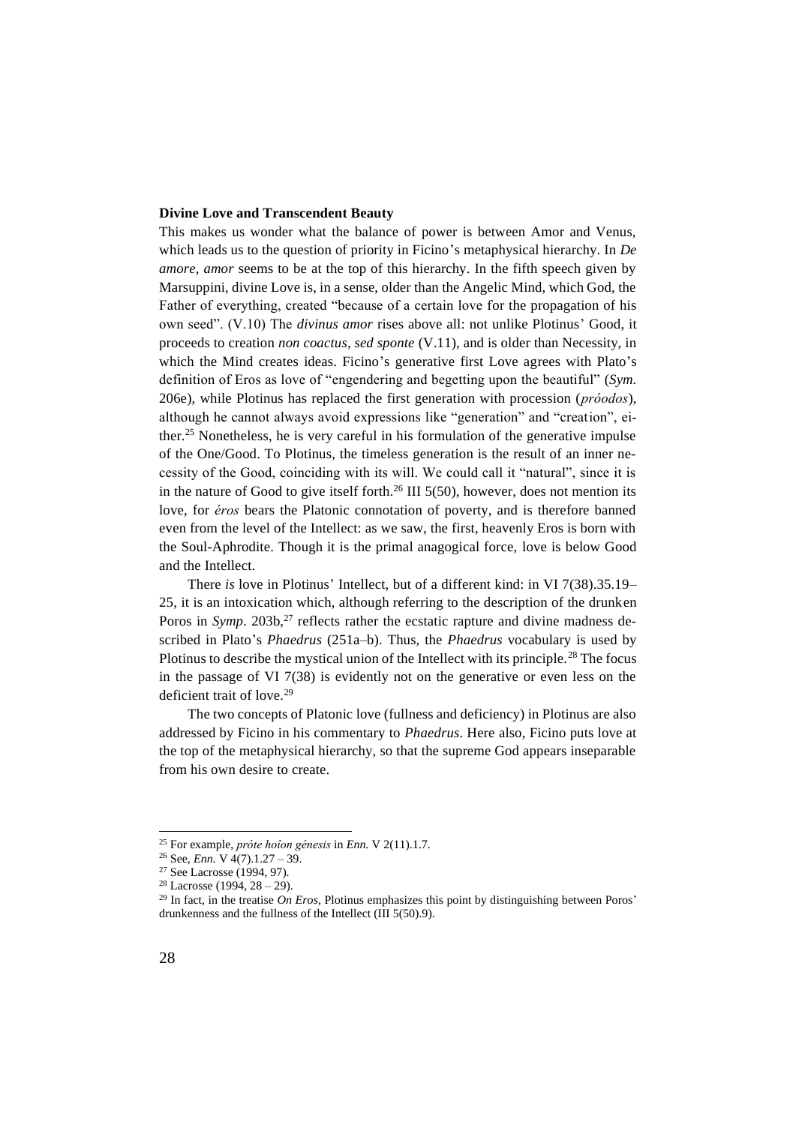## **Divine Love and Transcendent Beauty**

This makes us wonder what the balance of power is between Amor and Venus, which leads us to the question of priority in Ficino's metaphysical hierarchy. In *De amore, amor* seems to be at the top of this hierarchy. In the fifth speech given by Marsuppini, divine Love is, in a sense, older than the Angelic Mind, which God, the Father of everything, created "because of a certain love for the propagation of his own seed". (V.10) The *divinus amor* rises above all: not unlike Plotinus' Good, it proceeds to creation *non coactus, sed sponte* (V.11), and is older than Necessity, in which the Mind creates ideas. Ficino's generative first Love agrees with Plato's definition of Eros as love of "engendering and begetting upon the beautiful" (*Sym.* 206e), while Plotinus has replaced the first generation with procession (*próodos*), although he cannot always avoid expressions like "generation" and "creation", either.<sup>25</sup> Nonetheless, he is very careful in his formulation of the generative impulse of the One/Good. To Plotinus, the timeless generation is the result of an inner necessity of the Good, coinciding with its will. We could call it "natural", since it is in the nature of Good to give itself forth.<sup>26</sup> III 5(50), however, does not mention its love, for *éros* bears the Platonic connotation of poverty, and is therefore banned even from the level of the Intellect: as we saw, the first, heavenly Eros is born with the Soul-Aphrodite. Though it is the primal anagogical force, love is below Good and the Intellect.

There *is* love in Plotinus' Intellect, but of a different kind: in VI 7(38).35.19– 25, it is an intoxication which, although referring to the description of the drunken Poros in *Symp*. 203b,<sup>27</sup> reflects rather the ecstatic rapture and divine madness described in Plato's *Phaedrus* (251a–b). Thus, the *Phaedrus* vocabulary is used by Plotinus to describe the mystical union of the Intellect with its principle.<sup>28</sup> The focus in the passage of VI 7(38) is evidently not on the generative or even less on the deficient trait of love.<sup>29</sup>

The two concepts of Platonic love (fullness and deficiency) in Plotinus are also addressed by Ficino in his commentary to *Phaedrus*. Here also, Ficino puts love at the top of the metaphysical hierarchy, so that the supreme God appears inseparable from his own desire to create.

<sup>25</sup> For example, *próte hoîon génesis* in *Enn.* V 2(11).1.7.

<sup>26</sup> See, *Enn.* V 4(7).1.27 – 39.

<sup>27</sup> See Lacrosse (1994, 97).

 $28$  Lacrosse (1994,  $28 - 29$ ).

<sup>29</sup> In fact, in the treatise *On Eros*, Plotinus emphasizes this point by distinguishing between Poros' drunkenness and the fullness of the Intellect (III 5(50).9).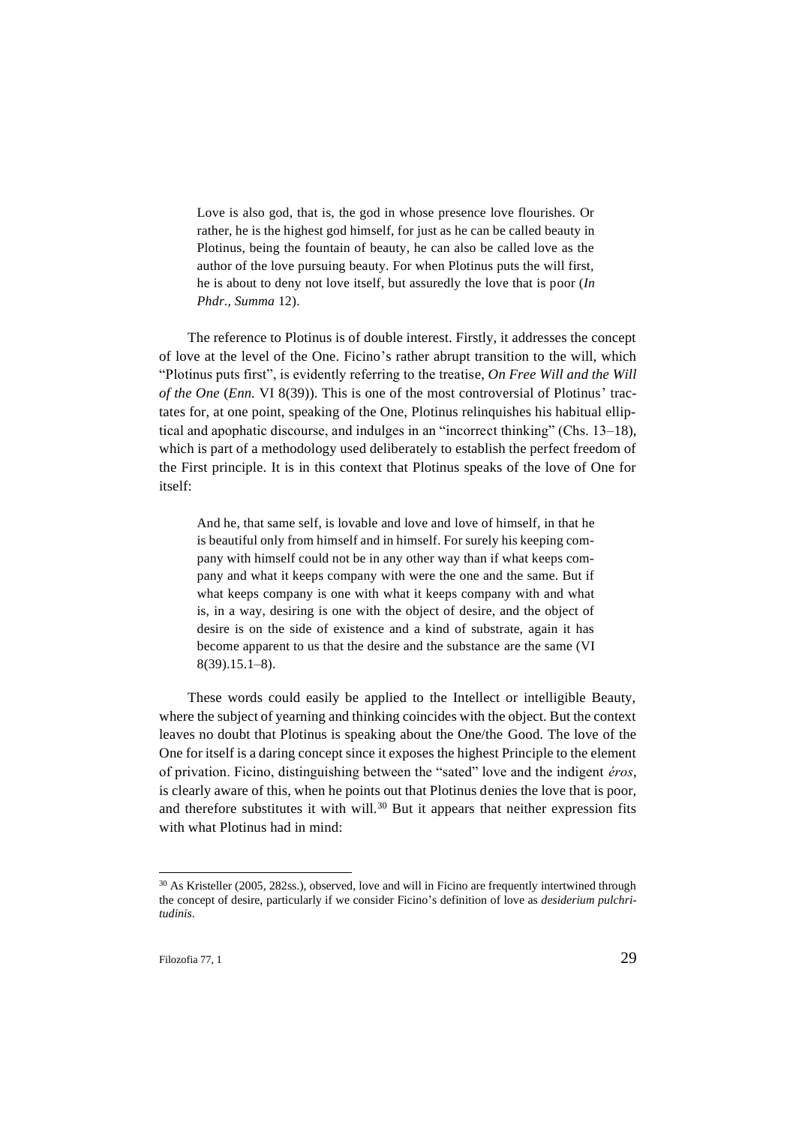Love is also god, that is, the god in whose presence love flourishes. Or rather, he is the highest god himself, for just as he can be called beauty in Plotinus, being the fountain of beauty, he can also be called love as the author of the love pursuing beauty. For when Plotinus puts the will first, he is about to deny not love itself, but assuredly the love that is poor (*In Phdr., Summa* 12).

The reference to Plotinus is of double interest. Firstly, it addresses the concept of love at the level of the One. Ficino's rather abrupt transition to the will, which "Plotinus puts first", is evidently referring to the treatise, *On Free Will and the Will of the One* (*Enn.* VI 8(39)). This is one of the most controversial of Plotinus' tractates for, at one point, speaking of the One, Plotinus relinquishes his habitual elliptical and apophatic discourse, and indulges in an "incorrect thinking" (Chs. 13–18), which is part of a methodology used deliberately to establish the perfect freedom of the First principle. It is in this context that Plotinus speaks of the love of One for itself:

And he, that same self, is lovable and love and love of himself, in that he is beautiful only from himself and in himself. For surely his keeping company with himself could not be in any other way than if what keeps company and what it keeps company with were the one and the same. But if what keeps company is one with what it keeps company with and what is, in a way, desiring is one with the object of desire, and the object of desire is on the side of existence and a kind of substrate, again it has become apparent to us that the desire and the substance are the same (VI 8(39).15.1–8).

These words could easily be applied to the Intellect or intelligible Beauty, where the subject of yearning and thinking coincides with the object. But the context leaves no doubt that Plotinus is speaking about the One/the Good. The love of the One for itself is a daring concept since it exposes the highest Principle to the element of privation. Ficino, distinguishing between the "sated" love and the indigent *éros*, is clearly aware of this, when he points out that Plotinus denies the love that is poor, and therefore substitutes it with will.<sup>30</sup> But it appears that neither expression fits with what Plotinus had in mind:

<sup>30</sup> As Kristeller (2005, 282ss.), observed, love and will in Ficino are frequently intertwined through the concept of desire, particularly if we consider Ficino's definition of love as *desiderium pulchritudinis*.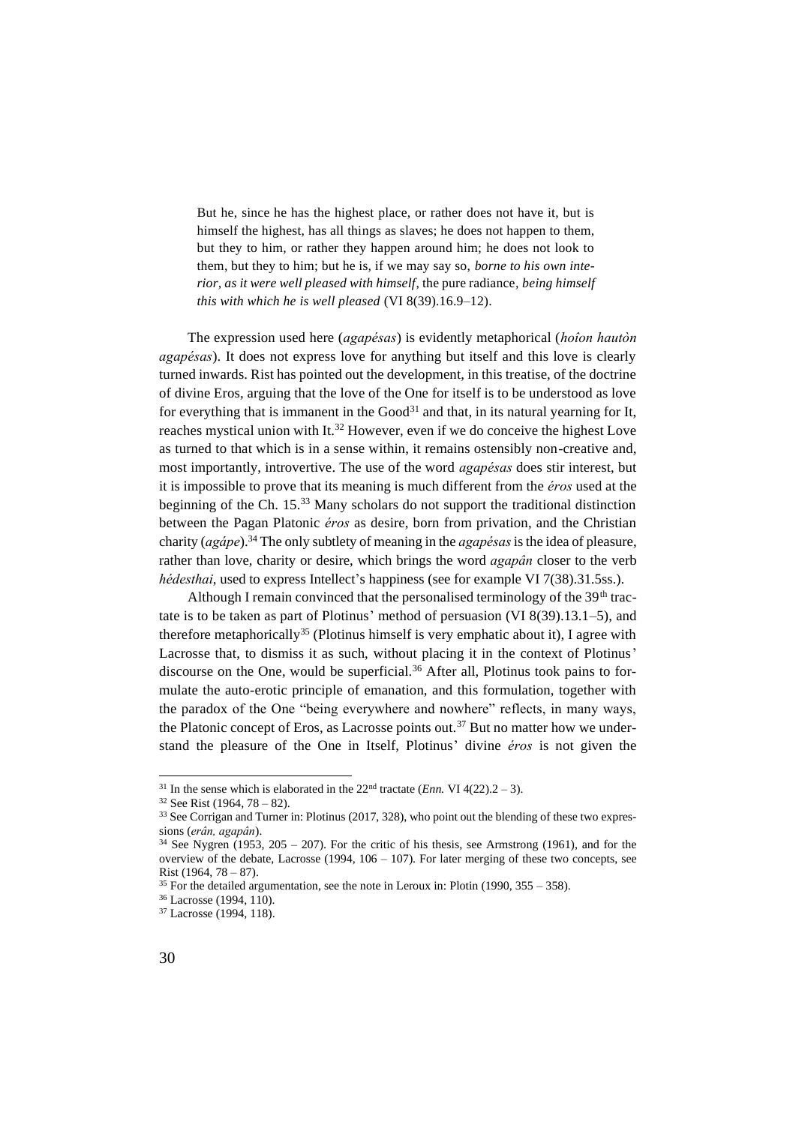But he, since he has the highest place, or rather does not have it, but is himself the highest, has all things as slaves; he does not happen to them, but they to him, or rather they happen around him; he does not look to them, but they to him; but he is, if we may say so, *borne to his own interior, as it were well pleased with himself*, the pure radiance*, being himself this with which he is well pleased* (VI 8(39).16.9–12).

The expression used here (*agapésas*) is evidently metaphorical (*hoîon hautòn agapésas*). It does not express love for anything but itself and this love is clearly turned inwards. Rist has pointed out the development, in this treatise, of the doctrine of divine Eros, arguing that the love of the One for itself is to be understood as love for everything that is immanent in the  $Good<sup>31</sup>$  and that, in its natural yearning for It, reaches mystical union with It.<sup>32</sup> However, even if we do conceive the highest Love as turned to that which is in a sense within, it remains ostensibly non-creative and, most importantly, introvertive. The use of the word *agapésas* does stir interest, but it is impossible to prove that its meaning is much different from the *éros* used at the beginning of the Ch. 15.<sup>33</sup> Many scholars do not support the traditional distinction between the Pagan Platonic *éros* as desire, born from privation, and the Christian charity (*agápe*).<sup>34</sup> The only subtlety of meaning in the *agapésas*is the idea of pleasure, rather than love, charity or desire, which brings the word *agapân* closer to the verb *hédesthai*, used to express Intellect's happiness (see for example VI 7(38).31.5ss.).

Although I remain convinced that the personalised terminology of the 39<sup>th</sup> tractate is to be taken as part of Plotinus' method of persuasion (VI 8(39).13.1–5), and therefore metaphorically<sup>35</sup> (Plotinus himself is very emphatic about it), I agree with Lacrosse that, to dismiss it as such, without placing it in the context of Plotinus' discourse on the One, would be superficial.<sup>36</sup> After all, Plotinus took pains to formulate the auto-erotic principle of emanation, and this formulation, together with the paradox of the One "being everywhere and nowhere" reflects, in many ways, the Platonic concept of Eros, as Lacrosse points out.<sup>37</sup> But no matter how we understand the pleasure of the One in Itself, Plotinus' divine *éros* is not given the

<sup>&</sup>lt;sup>31</sup> In the sense which is elaborated in the  $22<sup>nd</sup>$  tractate (*Enn.* VI 4(22).2 – 3).

 $32$  See Rist (1964, 78 – 82).

<sup>&</sup>lt;sup>33</sup> See Corrigan and Turner in: Plotinus (2017, 328), who point out the blending of these two expressions (*erân, agapân*).

 $34$  See Nygren (1953, 205 – 207). For the critic of his thesis, see Armstrong (1961), and for the overview of the debate, Lacrosse  $(1994, 106 - 107)$ . For later merging of these two concepts, see Rist (1964, 78 – 87).

 $35$  For the detailed argumentation, see the note in Leroux in: Plotin (1990,  $355 - 358$ ).

<sup>36</sup> Lacrosse (1994, 110).

<sup>37</sup> Lacrosse (1994, 118).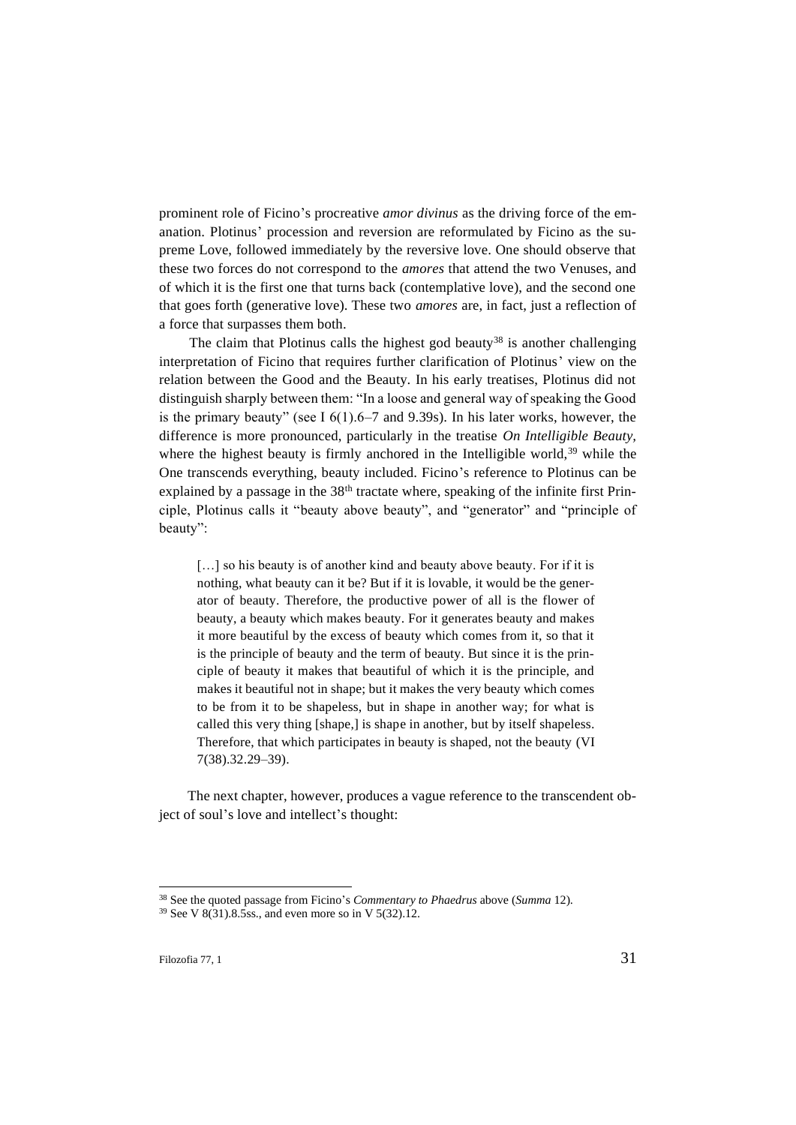prominent role of Ficino's procreative *amor divinus* as the driving force of the emanation. Plotinus' procession and reversion are reformulated by Ficino as the supreme Love, followed immediately by the reversive love. One should observe that these two forces do not correspond to the *amores* that attend the two Venuses, and of which it is the first one that turns back (contemplative love), and the second one that goes forth (generative love). These two *amores* are, in fact, just a reflection of a force that surpasses them both.

The claim that Plotinus calls the highest god beauty<sup>38</sup> is another challenging interpretation of Ficino that requires further clarification of Plotinus' view on the relation between the Good and the Beauty. In his early treatises, Plotinus did not distinguish sharply between them: "In a loose and general way of speaking the Good is the primary beauty" (see I  $6(1)$ .6–7 and 9.39s). In his later works, however, the difference is more pronounced, particularly in the treatise *On Intelligible Beauty,*  where the highest beauty is firmly anchored in the Intelligible world,  $39$  while the One transcends everything, beauty included. Ficino's reference to Plotinus can be explained by a passage in the  $38<sup>th</sup>$  tractate where, speaking of the infinite first Principle, Plotinus calls it "beauty above beauty", and "generator" and "principle of beauty":

[...] so his beauty is of another kind and beauty above beauty. For if it is nothing, what beauty can it be? But if it is lovable, it would be the generator of beauty. Therefore, the productive power of all is the flower of beauty, a beauty which makes beauty. For it generates beauty and makes it more beautiful by the excess of beauty which comes from it, so that it is the principle of beauty and the term of beauty. But since it is the principle of beauty it makes that beautiful of which it is the principle, and makes it beautiful not in shape; but it makes the very beauty which comes to be from it to be shapeless, but in shape in another way; for what is called this very thing [shape,] is shape in another, but by itself shapeless. Therefore, that which participates in beauty is shaped, not the beauty (VI 7(38).32.29–39).

The next chapter, however, produces a vague reference to the transcendent object of soul's love and intellect's thought:

<sup>38</sup> See the quoted passage from Ficino's *Commentary to Phaedrus* above (*Summa* 12).

<sup>&</sup>lt;sup>39</sup> See V 8(31).8.5ss., and even more so in V 5(32).12.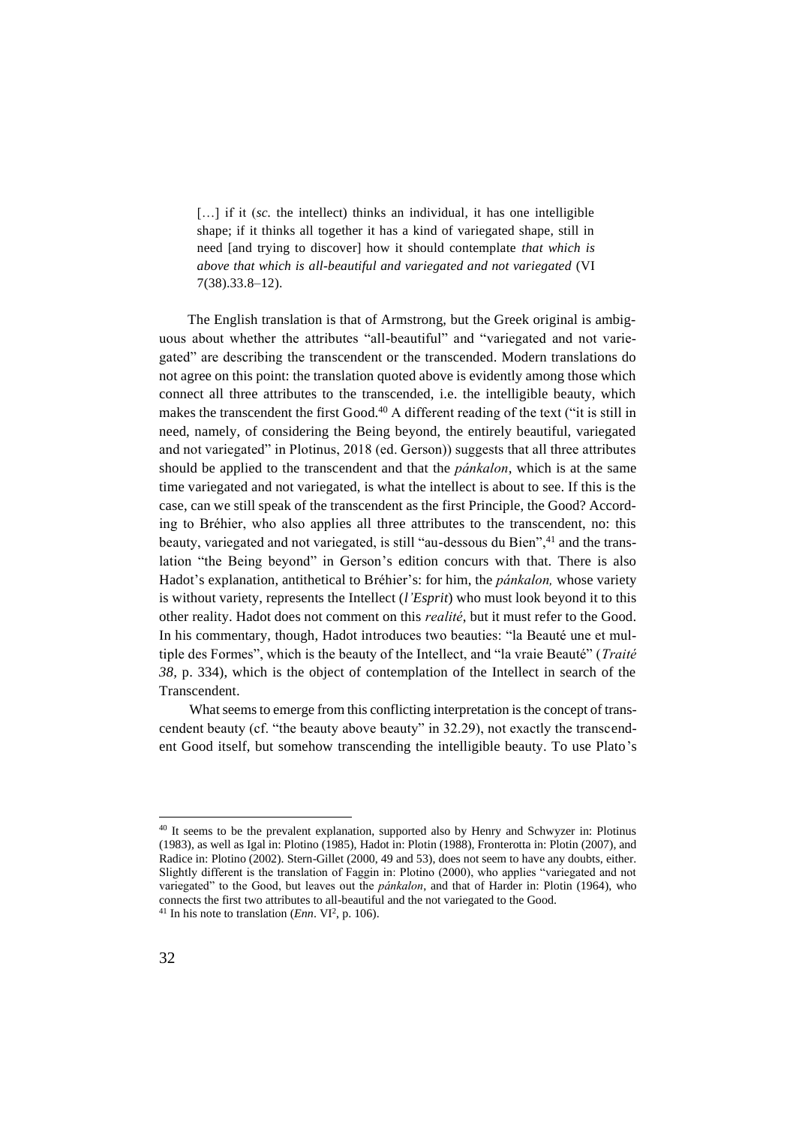[...] if it (sc. the intellect) thinks an individual, it has one intelligible shape; if it thinks all together it has a kind of variegated shape, still in need [and trying to discover] how it should contemplate *that which is above that which is all-beautiful and variegated and not variegated* (VI 7(38).33.8–12).

The English translation is that of Armstrong, but the Greek original is ambiguous about whether the attributes "all-beautiful" and "variegated and not variegated" are describing the transcendent or the transcended. Modern translations do not agree on this point: the translation quoted above is evidently among those which connect all three attributes to the transcended, i.e. the intelligible beauty, which makes the transcendent the first Good.<sup>40</sup> A different reading of the text ("it is still in need, namely, of considering the Being beyond, the entirely beautiful, variegated and not variegated" in Plotinus, 2018 (ed. Gerson)) suggests that all three attributes should be applied to the transcendent and that the *pánkalon*, which is at the same time variegated and not variegated, is what the intellect is about to see. If this is the case, can we still speak of the transcendent as the first Principle, the Good? According to Bréhier, who also applies all three attributes to the transcendent, no: this beauty, variegated and not variegated, is still "au-dessous du Bien",<sup>41</sup> and the translation "the Being beyond" in Gerson's edition concurs with that. There is also Hadot's explanation, antithetical to Bréhier's: for him, the *pánkalon,* whose variety is without variety, represents the Intellect (*l'Esprit*) who must look beyond it to this other reality. Hadot does not comment on this *realité*, but it must refer to the Good. In his commentary, though, Hadot introduces two beauties: "la Beauté une et multiple des Formes", which is the beauty of the Intellect, and "la vraie Beauté" (*Traité 38,* p. 334), which is the object of contemplation of the Intellect in search of the Transcendent.

What seems to emerge from this conflicting interpretation is the concept of transcendent beauty (cf. "the beauty above beauty" in 32.29), not exactly the transcendent Good itself, but somehow transcending the intelligible beauty. To use Plato's

<sup>&</sup>lt;sup>40</sup> It seems to be the prevalent explanation, supported also by Henry and Schwyzer in: Plotinus (1983)*,* as well as Igal in: Plotino (1985), Hadot in: Plotin (1988), Fronterotta in: Plotin (2007), and Radice in: Plotino (2002). Stern-Gillet (2000, 49 and 53), does not seem to have any doubts, either. Slightly different is the translation of Faggin in: Plotino (2000), who applies "variegated and not variegated" to the Good, but leaves out the *pánkalon*, and that of Harder in: Plotin (1964), who connects the first two attributes to all-beautiful and the not variegated to the Good. <sup>41</sup> In his note to translation (*Enn*. VI<sup>2</sup>, p. 106).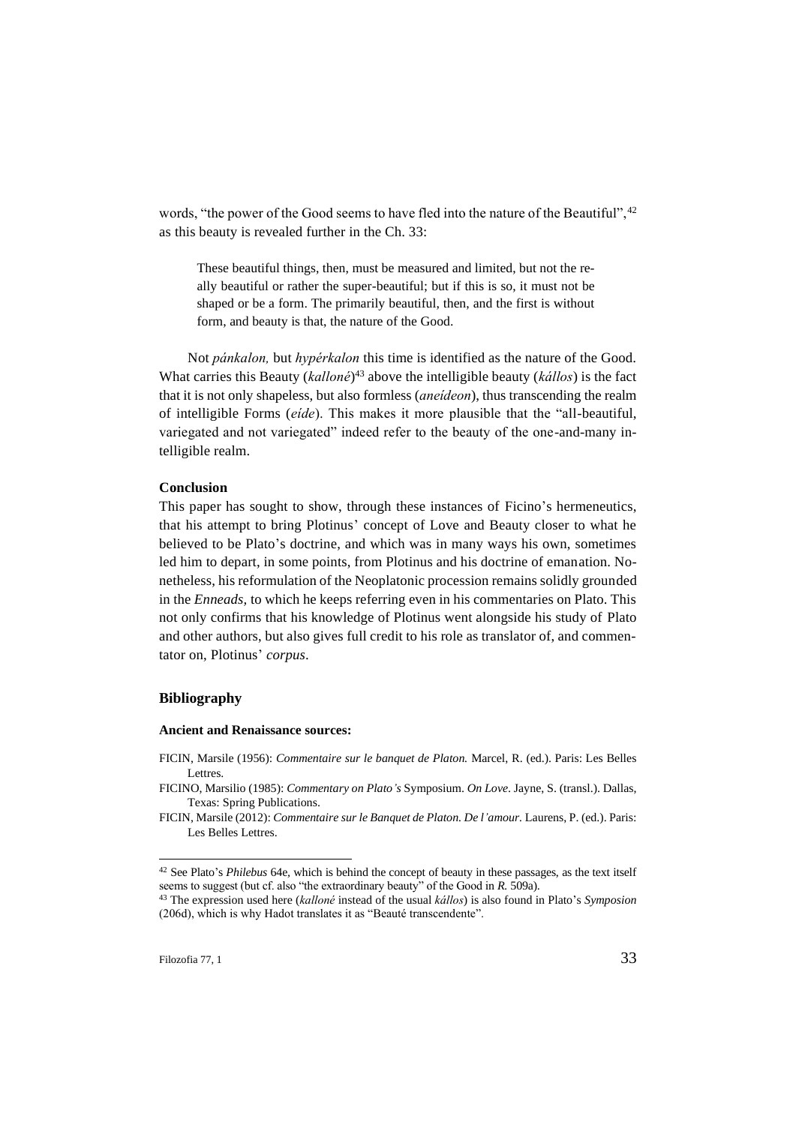words, "the power of the Good seems to have fled into the nature of the Beautiful", <sup>42</sup> as this beauty is revealed further in the Ch. 33:

These beautiful things, then, must be measured and limited, but not the really beautiful or rather the super-beautiful; but if this is so, it must not be shaped or be a form. The primarily beautiful, then, and the first is without form, and beauty is that, the nature of the Good.

Not *pánkalon,* but *hypérkalon* this time is identified as the nature of the Good. What carries this Beauty (*kalloné*) <sup>43</sup> above the intelligible beauty (*kállos*) is the fact that it is not only shapeless, but also formless (*aneídeon*), thus transcending the realm of intelligible Forms (*eíde*). This makes it more plausible that the "all-beautiful, variegated and not variegated" indeed refer to the beauty of the one-and-many intelligible realm.

### **Conclusion**

This paper has sought to show, through these instances of Ficino's hermeneutics, that his attempt to bring Plotinus' concept of Love and Beauty closer to what he believed to be Plato's doctrine, and which was in many ways his own, sometimes led him to depart, in some points, from Plotinus and his doctrine of emanation. Nonetheless, his reformulation of the Neoplatonic procession remains solidly grounded in the *Enneads,* to which he keeps referring even in his commentaries on Plato. This not only confirms that his knowledge of Plotinus went alongside his study of Plato and other authors, but also gives full credit to his role as translator of, and commentator on, Plotinus' *corpus*.

## **Bibliography**

#### **Ancient and Renaissance sources:**

FICIN, Marsile (1956): *Commentaire sur le banquet de Platon.* Marcel, R. (ed.). Paris: Les Belles Lettres.

FICINO, Marsilio (1985): *Commentary on Plato's* Symposium. *On Love*. Jayne, S. (transl.). Dallas, Texas: Spring Publications.

FICIN, Marsile (2012): *Commentaire sur le Banquet de Platon. De l'amour.* Laurens, P. (ed.). Paris: Les Belles Lettres.

<sup>42</sup> See Plato's *Philebus* 64e*,* which is behind the concept of beauty in these passages, as the text itself seems to suggest (but cf. also "the extraordinary beauty" of the Good in *R.* 509a).

<sup>43</sup> The expression used here (*kalloné* instead of the usual *kállos*) is also found in Plato's *Symposion*  (206d), which is why Hadot translates it as "Beauté transcendente".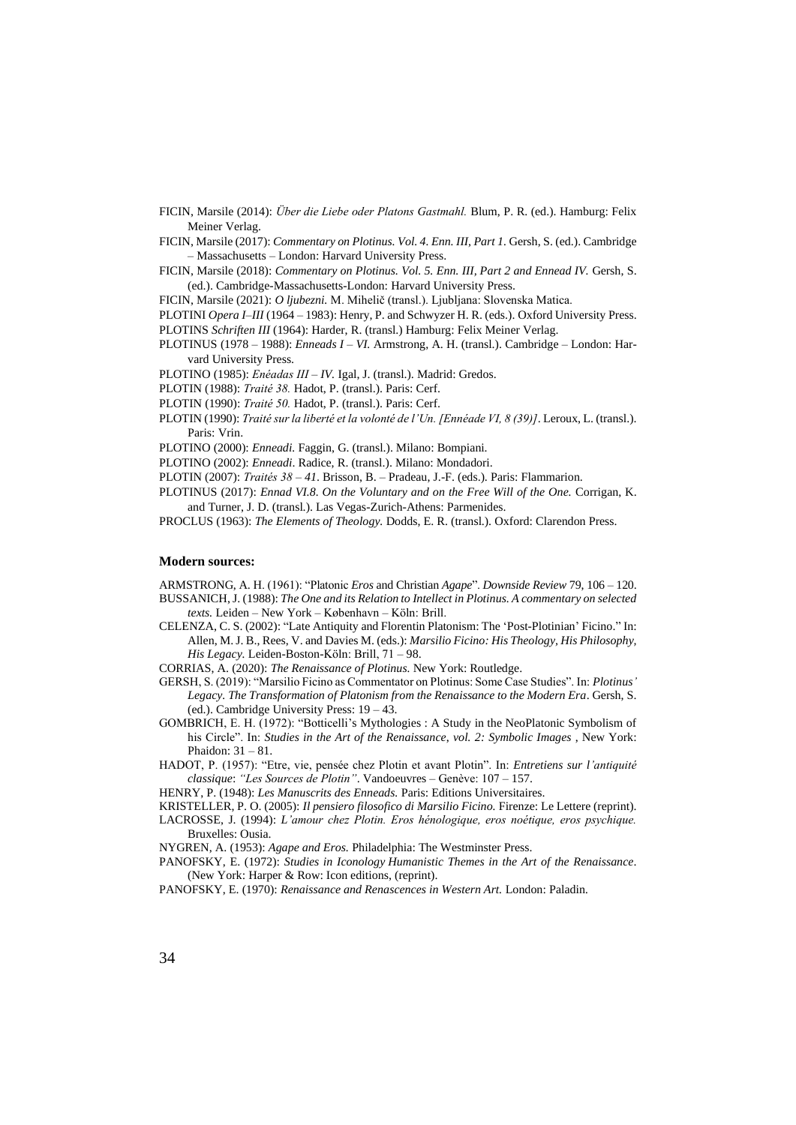- FICIN, Marsile (2014): *Über die Liebe oder Platons Gastmahl.* Blum, P. R. (ed.). Hamburg: Felix Meiner Verlag.
- FICIN, Marsile (2017): *Commentary on Plotinus. Vol. 4. Enn. III, Part 1.* Gersh, S. (ed.). Cambridge – Massachusetts – London: Harvard University Press.
- FICIN, Marsile (2018): *Commentary on Plotinus. Vol. 5. Enn. III, Part 2 and Ennead IV.* Gersh, S. (ed.). Cambridge-Massachusetts-London: Harvard University Press.
- FICIN, Marsile (2021): *O ljubezni.* M. Mihelič (transl.). Ljubljana: Slovenska Matica.
- PLOTINI *Opera I*–*III* (1964 1983): Henry, P. and Schwyzer H. R. (eds.). Oxford University Press.
- PLOTINS *Schriften III* (1964): Harder, R. (transl.) Hamburg: Felix Meiner Verlag.
- PLOTINUS (1978 1988): *Enneads I – VI.* Armstrong, A. H. (transl.). Cambridge London: Harvard University Press.
- PLOTINO (1985): *Enéadas III – IV.* Igal, J. (transl.). Madrid: Gredos.
- PLOTIN (1988): *Traité 38.* Hadot, P. (transl.). Paris: Cerf.
- PLOTIN (1990): *Traité 50.* Hadot, P. (transl.). Paris: Cerf.
- PLOTIN (1990): *Traité sur la liberté et la volonté de l'Un. [Ennéade VI, 8 (39)]*. Leroux, L. (transl.). Paris: Vrin.
- PLOTINO (2000): *Enneadi.* Faggin, G. (transl.). Milano: Bompiani.
- PLOTINO (2002): *Enneadi*. Radice, R. (transl.). Milano: Mondadori.
- PLOTIN (2007): *Traités 38 – 41*. Brisson, B. Pradeau, J.-F. (eds.). Paris: Flammarion.
- PLOTINUS (2017): *Ennad VI.8. On the Voluntary and on the Free Will of the One.* Corrigan, K. and Turner, J. D. (transl.). Las Vegas-Zurich-Athens: Parmenides.
- PROCLUS (1963): *The Elements of Theology.* Dodds, E. R. (transl.). Oxford: Clarendon Press.

#### **Modern sources:**

ARMSTRONG, A. H. (1961): "Platonic *Eros* and Christian *Agape*". *Downside Review* 79, 106 – 120. BUSSANICH, J. (1988): *The One and its Relation to Intellect in Plotinus. A commentary on selected* 

- *texts.* Leiden New York København Köln: Brill. CELENZA, C. S. (2002): "Late Antiquity and Florentin Platonism: The 'Post-Plotinian' Ficino." In:
- Allen, M. J. B., Rees, V. and Davies M. (eds.): *Marsilio Ficino: His Theology, His Philosophy, His Legacy.* Leiden-Boston-Köln: Brill, 71 – 98.

CORRIAS, A. (2020): *The Renaissance of Plotinus.* New York: Routledge.

- GERSH, S. (2019): "Marsilio Ficino as Commentator on Plotinus: Some Case Studies". In: *Plotinus' Legacy. The Transformation of Platonism from the Renaissance to the Modern Era*. Gersh, S. (ed.). Cambridge University Press: 19 – 43.
- GOMBRICH, E. H. (1972): "Botticelli's Mythologies : A Study in the NeoPlatonic Symbolism of his Circle". In: *Studies in the Art of the Renaissance*, *vol. 2: Symbolic Images* , New York: Phaidon: 31 – 81.
- HADOT, P. (1957): "Etre, vie, pensée chez Plotin et avant Plotin". In: *Entretiens sur l'antiquité classique*: *"Les Sources de Plotin"*. Vandoeuvres – Genève: 107 – 157.
- HENRY, P. (1948): *Les Manuscrits des Enneads.* Paris: Editions Universitaires.
- KRISTELLER, P. O. (2005): *Il pensiero filosofico di Marsilio Ficino.* Firenze: Le Lettere (reprint).
- LACROSSE, J. (1994): *L'amour chez Plotin. Eros hénologique, eros noétique, eros psychique.* Bruxelles: Ousia.
- NYGREN, A. (1953): *Agape and Eros.* Philadelphia: The Westminster Press.
- PANOFSKY, E. (1972): *Studies in Iconology Humanistic Themes in the Art of the Renaissance*. (New York: Harper & Row: Icon editions, (reprint).
- PANOFSKY, E. (1970): *Renaissance and Renascences in Western Art.* London: Paladin*.*